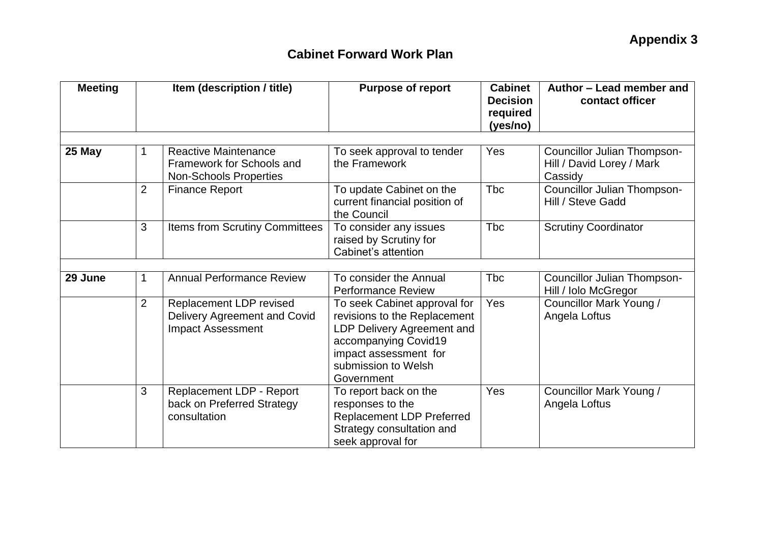## **Cabinet Forward Work Plan**

| <b>Meeting</b> | Item (description / title) |                                                                                           | <b>Purpose of report</b>                                                                                                                                                         | <b>Cabinet</b><br><b>Decision</b><br>required<br>(yes/no) | Author - Lead member and<br>contact officer                         |  |
|----------------|----------------------------|-------------------------------------------------------------------------------------------|----------------------------------------------------------------------------------------------------------------------------------------------------------------------------------|-----------------------------------------------------------|---------------------------------------------------------------------|--|
| 25 May         |                            | <b>Reactive Maintenance</b><br>Framework for Schools and<br><b>Non-Schools Properties</b> | To seek approval to tender<br>the Framework                                                                                                                                      | Yes                                                       | Councillor Julian Thompson-<br>Hill / David Lorey / Mark<br>Cassidy |  |
|                | $\overline{2}$             | <b>Finance Report</b>                                                                     | To update Cabinet on the<br>current financial position of<br>the Council                                                                                                         | <b>Tbc</b>                                                | Councillor Julian Thompson-<br>Hill / Steve Gadd                    |  |
|                | 3                          | Items from Scrutiny Committees                                                            | To consider any issues<br>raised by Scrutiny for<br>Cabinet's attention                                                                                                          | <b>T</b> bc                                               | <b>Scrutiny Coordinator</b>                                         |  |
| 29 June        | 1                          | <b>Annual Performance Review</b>                                                          | To consider the Annual<br><b>Performance Review</b>                                                                                                                              | <b>Tbc</b>                                                | Councillor Julian Thompson-<br>Hill / Iolo McGregor                 |  |
|                | $\overline{2}$             | Replacement LDP revised<br>Delivery Agreement and Covid<br><b>Impact Assessment</b>       | To seek Cabinet approval for<br>revisions to the Replacement<br>LDP Delivery Agreement and<br>accompanying Covid19<br>impact assessment for<br>submission to Welsh<br>Government | <b>Yes</b>                                                | Councillor Mark Young /<br>Angela Loftus                            |  |
|                | 3                          | Replacement LDP - Report<br>back on Preferred Strategy<br>consultation                    | To report back on the<br>responses to the<br><b>Replacement LDP Preferred</b><br>Strategy consultation and<br>seek approval for                                                  | Yes                                                       | Councillor Mark Young /<br>Angela Loftus                            |  |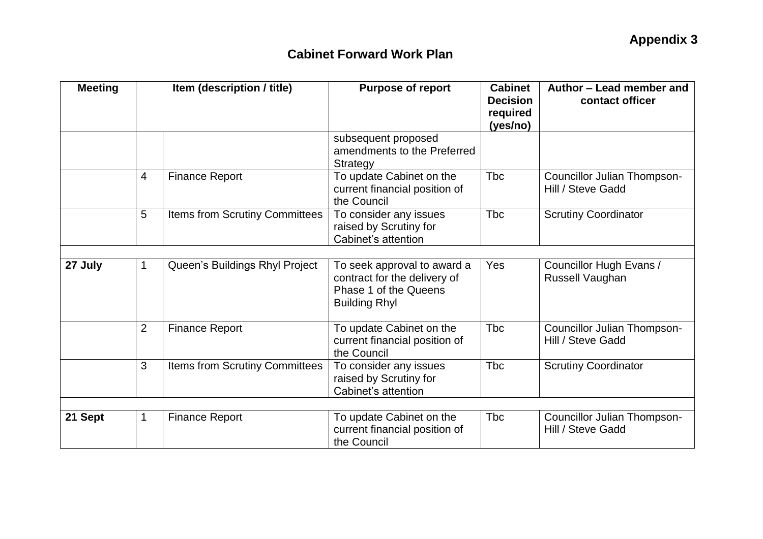## **Cabinet Forward Work Plan**

| <b>Meeting</b> | Item (description / title) |                                       | <b>Purpose of report</b>                                                                                     | <b>Cabinet</b><br><b>Decision</b><br>required<br>(yes/no) | Author - Lead member and<br>contact officer             |
|----------------|----------------------------|---------------------------------------|--------------------------------------------------------------------------------------------------------------|-----------------------------------------------------------|---------------------------------------------------------|
|                |                            |                                       | subsequent proposed<br>amendments to the Preferred<br>Strategy                                               |                                                           |                                                         |
|                | $\overline{4}$             | <b>Finance Report</b>                 | To update Cabinet on the<br>current financial position of<br>the Council                                     | Tbc                                                       | Councillor Julian Thompson-<br>Hill / Steve Gadd        |
|                | 5                          | Items from Scrutiny Committees        | To consider any issues<br>raised by Scrutiny for<br>Cabinet's attention                                      | <b>T</b> bc                                               | <b>Scrutiny Coordinator</b>                             |
| 27 July        | 1                          | Queen's Buildings Rhyl Project        | To seek approval to award a<br>contract for the delivery of<br>Phase 1 of the Queens<br><b>Building Rhyl</b> | <b>Yes</b>                                                | Councillor Hugh Evans /<br>Russell Vaughan              |
|                | $\overline{2}$             | <b>Finance Report</b>                 | To update Cabinet on the<br>current financial position of<br>the Council                                     | Tbc                                                       | <b>Councillor Julian Thompson-</b><br>Hill / Steve Gadd |
|                | 3                          | <b>Items from Scrutiny Committees</b> | To consider any issues<br>raised by Scrutiny for<br>Cabinet's attention                                      | <b>Tbc</b>                                                | <b>Scrutiny Coordinator</b>                             |
|                |                            |                                       |                                                                                                              |                                                           |                                                         |
| 21 Sept        | 1                          | <b>Finance Report</b>                 | To update Cabinet on the<br>current financial position of<br>the Council                                     | <b>T</b> bc                                               | <b>Councillor Julian Thompson-</b><br>Hill / Steve Gadd |